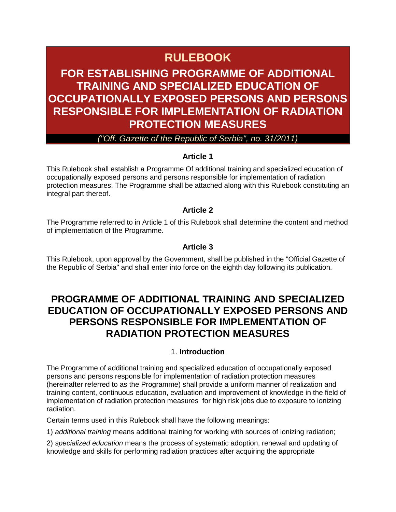# **RULEBOOK**

## **FOR ESTABLISHING PROGRAMME OF ADDITIONAL TRAINING AND SPECIALIZED EDUCATION OF OCCUPATIONALLY EXPOSED PERSONS AND PERSONS RESPONSIBLE FOR IMPLEMENTATION OF RADIATION PROTECTION MEASURES**

#### *("Off. Gazette of the Republic of Serbia", no. 31/2011)*

#### **Article 1**

This Rulebook shall establish a Programme Of additional training and specialized education of occupationally exposed persons and persons responsible for implementation of radiation protection measures. The Programme shall be attached along with this Rulebook constituting an integral part thereof.

#### **Article 2**

The Programme referred to in Article 1 of this Rulebook shall determine the content and method of implementation of the Programme.

#### **Article 3**

This Rulebook, upon approval by the Government, shall be published in the "Official Gazette of the Republic of Serbia" and shall enter into force on the eighth day following its publication.

### **PROGRAMME OF ADDITIONAL TRAINING AND SPECIALIZED EDUCATION OF OCCUPATIONALLY EXPOSED PERSONS AND PERSONS RESPONSIBLE FOR IMPLEMENTATION OF RADIATION PROTECTION MEASURES**

#### 1. **Introduction**

The Programme of additional training and specialized education of occupationally exposed persons and persons responsible for implementation of radiation protection measures (hereinafter referred to as the Programme) shall provide a uniform manner of realization and training content, continuous education, evaluation and improvement of knowledge in the field of implementation of radiation protection measures for high risk jobs due to exposure to ionizing radiation.

Certain terms used in this Rulebook shall have the following meanings:

1) *additional training* means additional training for working with sources of ionizing radiation;

2) *specialized education* means the process of systematic adoption, renewal and updating of knowledge and skills for performing radiation practices after acquiring the appropriate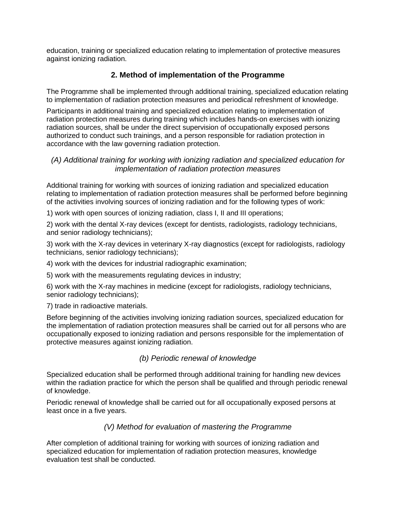education, training or specialized education relating to implementation of protective measures against ionizing radiation.

#### **2. Method of implementation of the Programme**

The Programme shall be implemented through additional training, specialized education relating to implementation of radiation protection measures and periodical refreshment of knowledge.

Participants in additional training and specialized education relating to implementation of radiation protection measures during training which includes hands-on exercises with ionizing radiation sources, shall be under the direct supervision of occupationally exposed persons authorized to conduct such trainings, and a person responsible for radiation protection in accordance with the law governing radiation protection.

#### *(A) Additional training for working with ionizing radiation and specialized education for implementation of radiation protection measures*

Additional training for working with sources of ionizing radiation and specialized education relating to implementation of radiation protection measures shall be performed before beginning of the activities involving sources of ionizing radiation and for the following types of work:

1) work with open sources of ionizing radiation, class I, II and III operations;

2) work with the dental X-ray devices (except for dentists, radiologists, radiology technicians, and senior radiology technicians);

3) work with the X-ray devices in veterinary X-ray diagnostics (except for radiologists, radiology technicians, senior radiology technicians);

4) work with the devices for industrial radiographic examination;

5) work with the measurements regulating devices in industry;

6) work with the X-ray machines in medicine (except for radiologists, radiology technicians, senior radiology technicians);

7) trade in radioactive materials.

Before beginning of the activities involving ionizing radiation sources, specialized education for the implementation of radiation protection measures shall be carried out for all persons who are occupationally exposed to ionizing radiation and persons responsible for the implementation of protective measures against ionizing radiation.

#### *(b) Periodic renewal of knowledge*

Specialized education shall be performed through additional training for handling new devices within the radiation practice for which the person shall be qualified and through periodic renewal of knowledge.

Periodic renewal of knowledge shall be carried out for all occupationally exposed persons at least once in a five years.

#### *(V) Method for evaluation of mastering the Programme*

After completion of additional training for working with sources of ionizing radiation and specialized education for implementation of radiation protection measures, knowledge evaluation test shall be conducted.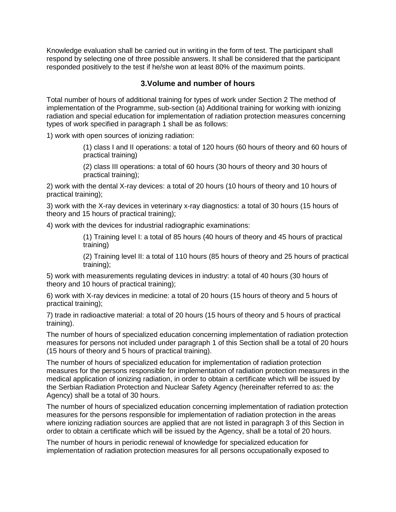Knowledge evaluation shall be carried out in writing in the form of test. The participant shall respond by selecting one of three possible answers. It shall be considered that the participant responded positively to the test if he/she won at least 80% of the maximum points.

#### **3.Volume and number of hours**

Total number of hours of additional training for types of work under Section 2 The method of implementation of the Programme, sub-section (a) Additional training for working with ionizing radiation and special education for implementation of radiation protection measures concerning types of work specified in paragraph 1 shall be as follows:

1) work with open sources of ionizing radiation:

(1) class I and II operations: a total of 120 hours (60 hours of theory and 60 hours of practical training)

(2) class III operations: a total of 60 hours (30 hours of theory and 30 hours of practical training);

2) work with the dental X-ray devices: a total of 20 hours (10 hours of theory and 10 hours of practical training);

3) work with the X-ray devices in veterinary x-ray diagnostics: a total of 30 hours (15 hours of theory and 15 hours of practical training);

4) work with the devices for industrial radiographic examinations:

(1) Training level I: a total of 85 hours (40 hours of theory and 45 hours of practical training)

(2) Training level II: a total of 110 hours (85 hours of theory and 25 hours of practical training);

5) work with measurements regulating devices in industry: a total of 40 hours (30 hours of theory and 10 hours of practical training);

6) work with X-ray devices in medicine: a total of 20 hours (15 hours of theory and 5 hours of practical training);

7) trade in radioactive material: a total of 20 hours (15 hours of theory and 5 hours of practical training).

The number of hours of specialized education concerning implementation of radiation protection measures for persons not included under paragraph 1 of this Section shall be a total of 20 hours (15 hours of theory and 5 hours of practical training).

The number of hours of specialized education for implementation of radiation protection measures for the persons responsible for implementation of radiation protection measures in the medical application of ionizing radiation, in order to obtain a certificate which will be issued by the Serbian Radiation Protection and Nuclear Safety Agency (hereinafter referred to as: the Agency) shall be a total of 30 hours.

The number of hours of specialized education concerning implementation of radiation protection measures for the persons responsible for implementation of radiation protection in the areas where ionizing radiation sources are applied that are not listed in paragraph 3 of this Section in order to obtain a certificate which will be issued by the Agency, shall be a total of 20 hours.

The number of hours in periodic renewal of knowledge for specialized education for implementation of radiation protection measures for all persons occupationally exposed to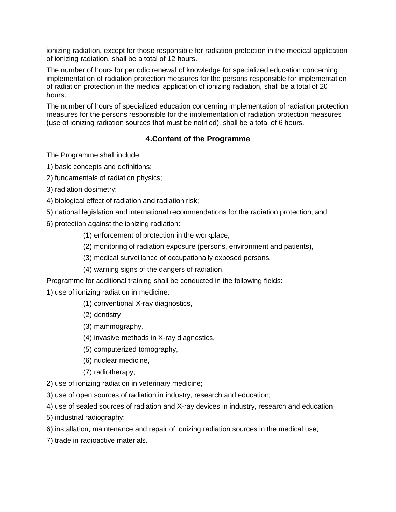ionizing radiation, except for those responsible for radiation protection in the medical application of ionizing radiation, shall be a total of 12 hours.

The number of hours for periodic renewal of knowledge for specialized education concerning implementation of radiation protection measures for the persons responsible for implementation of radiation protection in the medical application of ionizing radiation, shall be a total of 20 hours.

The number of hours of specialized education concerning implementation of radiation protection measures for the persons responsible for the implementation of radiation protection measures (use of ionizing radiation sources that must be notified), shall be a total of 6 hours.

#### **4.Content of the Programme**

The Programme shall include:

- 1) basic concepts and definitions;
- 2) fundamentals of radiation physics;
- 3) radiation dosimetry;
- 4) biological effect of radiation and radiation risk;
- 5) national legislation and international recommendations for the radiation protection, and
- 6) protection against the ionizing radiation:
	- (1) enforcement of protection in the workplace,
	- (2) monitoring of radiation exposure (persons, environment and patients),
	- (3) medical surveillance of occupationally exposed persons,
	- (4) warning signs of the dangers of radiation.

Programme for additional training shall be conducted in the following fields:

1) use of ionizing radiation in medicine:

- (1) conventional X-ray diagnostics,
- (2) dentistry
- (3) mammography,
- (4) invasive methods in X-ray diagnostics,
- (5) computerized tomography,
- (6) nuclear medicine,
- (7) radiotherapy;
- 2) use of ionizing radiation in veterinary medicine;
- 3) use of open sources of radiation in industry, research and education;
- 4) use of sealed sources of radiation and X-ray devices in industry, research and education;
- 5) industrial radiography;
- 6) installation, maintenance and repair of ionizing radiation sources in the medical use;
- 7) trade in radioactive materials.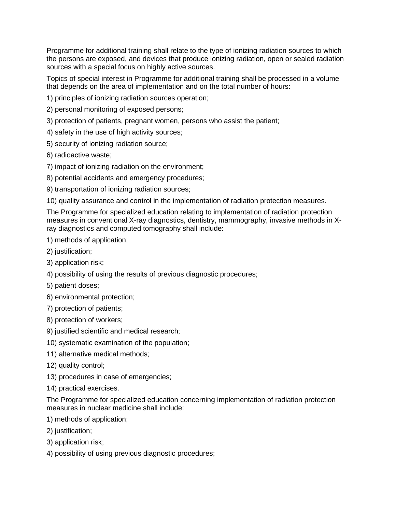Programme for additional training shall relate to the type of ionizing radiation sources to which the persons are exposed, and devices that produce ionizing radiation, open or sealed radiation sources with a special focus on highly active sources.

Topics of special interest in Programme for additional training shall be processed in a volume that depends on the area of implementation and on the total number of hours:

1) principles of ionizing radiation sources operation;

2) personal monitoring of exposed persons;

- 3) protection of patients, pregnant women, persons who assist the patient;
- 4) safety in the use of high activity sources;
- 5) security of ionizing radiation source;
- 6) radioactive waste;
- 7) impact of ionizing radiation on the environment;
- 8) potential accidents and emergency procedures;

9) transportation of ionizing radiation sources;

10) quality assurance and control in the implementation of radiation protection measures.

The Programme for specialized education relating to implementation of radiation protection measures in conventional X-ray diagnostics, dentistry, mammography, invasive methods in Xray diagnostics and computed tomography shall include:

#### 1) methods of application;

- 2) justification;
- 3) application risk;
- 4) possibility of using the results of previous diagnostic procedures;
- 5) patient doses;
- 6) environmental protection;
- 7) protection of patients;
- 8) protection of workers;
- 9) justified scientific and medical research;
- 10) systematic examination of the population;
- 11) alternative medical methods;
- 12) quality control;
- 13) procedures in case of emergencies;
- 14) practical exercises.

The Programme for specialized education concerning implementation of radiation protection measures in nuclear medicine shall include:

- 1) methods of application;
- 2) justification;
- 3) application risk;
- 4) possibility of using previous diagnostic procedures;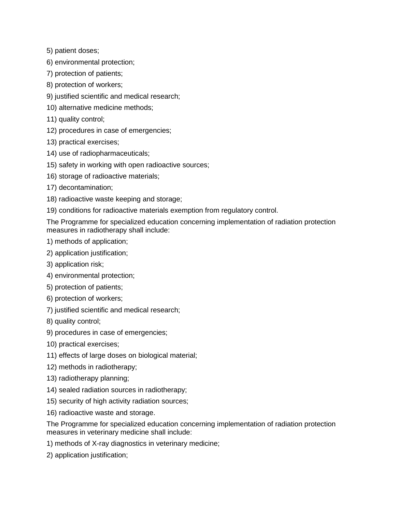5) patient doses;

- 6) environmental protection;
- 7) protection of patients;
- 8) protection of workers;
- 9) justified scientific and medical research;
- 10) alternative medicine methods;
- 11) quality control;
- 12) procedures in case of emergencies;
- 13) practical exercises;
- 14) use of radiopharmaceuticals;
- 15) safety in working with open radioactive sources;
- 16) storage of radioactive materials;
- 17) decontamination;
- 18) radioactive waste keeping and storage;
- 19) conditions for radioactive materials exemption from regulatory control.

The Programme for specialized education concerning implementation of radiation protection measures in radiotherapy shall include:

- 1) methods of application;
- 2) application justification;
- 3) application risk;
- 4) environmental protection;
- 5) protection of patients;
- 6) protection of workers;
- 7) justified scientific and medical research;
- 8) quality control;
- 9) procedures in case of emergencies;
- 10) practical exercises;
- 11) effects of large doses on biological material;
- 12) methods in radiotherapy;
- 13) radiotherapy planning;
- 14) sealed radiation sources in radiotherapy;
- 15) security of high activity radiation sources;
- 16) radioactive waste and storage.

The Programme for specialized education concerning implementation of radiation protection measures in veterinary medicine shall include:

- 1) methods of X-ray diagnostics in veterinary medicine;
- 2) application justification;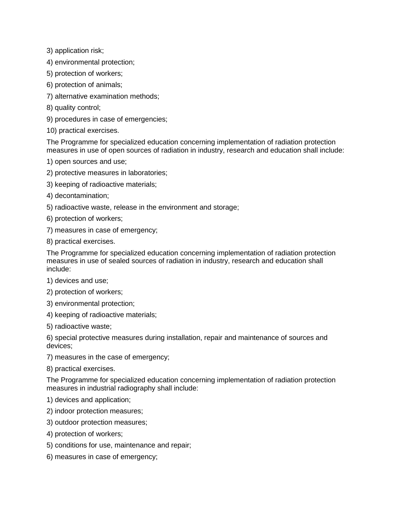3) application risk;

4) environmental protection;

- 5) protection of workers;
- 6) protection of animals;
- 7) alternative examination methods;
- 8) quality control;
- 9) procedures in case of emergencies;
- 10) practical exercises.

The Programme for specialized education concerning implementation of radiation protection measures in use of open sources of radiation in industry, research and education shall include:

- 1) open sources and use;
- 2) protective measures in laboratories;
- 3) keeping of radioactive materials;
- 4) decontamination;
- 5) radioactive waste, release in the environment and storage;
- 6) protection of workers;
- 7) measures in case of emergency;
- 8) practical exercises.

The Programme for specialized education concerning implementation of radiation protection measures in use of sealed sources of radiation in industry, research and education shall include:

- 1) devices and use;
- 2) protection of workers;
- 3) environmental protection;
- 4) keeping of radioactive materials;
- 5) radioactive waste;

6) special protective measures during installation, repair and maintenance of sources and devices;

- 7) measures in the case of emergency;
- 8) practical exercises.

The Programme for specialized education concerning implementation of radiation protection measures in industrial radiography shall include:

- 1) devices and application;
- 2) indoor protection measures;
- 3) outdoor protection measures;
- 4) protection of workers;
- 5) conditions for use, maintenance and repair;
- 6) measures in case of emergency;